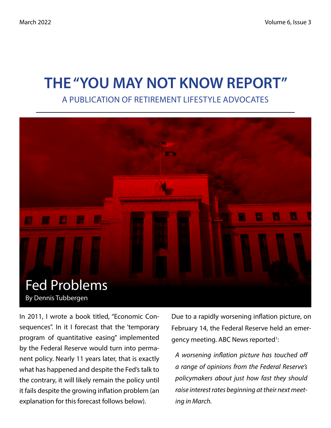# THE "YOU MAY NOT KNOW REPORT"

A PUBLICATION OF RETIREMENT LIFESTYLE ADVOCATES



In 2011, I wrote a book titled, "Economic Consequences". In it I forecast that the 'temporary program of quantitative easing" implemented by the Federal Reserve would turn into permanent policy. Nearly 11 years later, that is exactly what has happened and despite the Fed's talk to the contrary, it will likely remain the policy until it fails despite the growing inflation problem (an explanation for this forecast follows below).

Due to a rapidly worsening inflation picture, on February 14, the Federal Reserve held an emergency meeting. ABC News reported<sup>1</sup>:

*A worsening inflation picture has touched off a range of opinions from the Federal Reserve's policymakers about just how fast they should raise interest rates beginning at their next meeting in March.*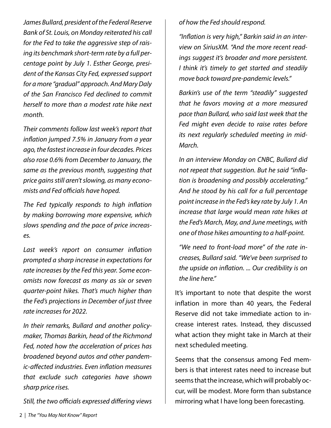*James Bullard, president of the Federal Reserve Bank of St. Louis, on Monday reiterated his call for the Fed to take the aggressive step of raising its benchmark short-term rate by a full percentage point by July 1. Esther George, president of the Kansas City Fed, expressed support for a more "gradual" approach. And Mary Daly of the San Francisco Fed declined to commit herself to more than a modest rate hike next month.*

*Their comments follow last week's report that inflation jumped 7.5% in January from a year ago, the fastest increase in four decades. Prices also rose 0.6% from December to January, the same as the previous month, suggesting that price gains still aren't slowing, as many economists and Fed officials have hoped.*

*The Fed typically responds to high inflation by making borrowing more expensive, which slows spending and the pace of price increases.*

*Last week's report on consumer inflation prompted a sharp increase in expectations for rate increases by the Fed this year. Some economists now forecast as many as six or seven quarter-point hikes. That's much higher than the Fed's projections in December of just three rate increases for 2022.*

*In their remarks, Bullard and another policymaker, Thomas Barkin, head of the Richmond Fed, noted how the acceleration of prices has broadened beyond autos and other pandemic-affected industries. Even inflation measures that exclude such categories have shown sharp price rises.*

*Still, the two officials expressed differing views* 

*of how the Fed should respond.*

*"Inflation is very high," Barkin said in an interview on SiriusXM. "And the more recent readings suggest it's broader and more persistent. I think it's timely to get started and steadily move back toward pre-pandemic levels."*

*Barkin's use of the term "steadily" suggested that he favors moving at a more measured pace than Bullard, who said last week that the Fed might even decide to raise rates before its next regularly scheduled meeting in mid-March.*

*In an interview Monday on CNBC, Bullard did not repeat that suggestion. But he said "inflation is broadening and possibly accelerating." And he stood by his call for a full percentage point increase in the Fed's key rate by July 1. An increase that large would mean rate hikes at the Fed's March, May, and June meetings, with one of those hikes amounting to a half-point.*

*"We need to front-load more" of the rate increases, Bullard said. "We've been surprised to the upside on inflation. ... Our credibility is on the line here."*

It's important to note that despite the worst inflation in more than 40 years, the Federal Reserve did not take immediate action to increase interest rates. Instead, they discussed what action they might take in March at their next scheduled meeting.

Seems that the consensus among Fed members is that interest rates need to increase but seems that the increase, which will probably occur, will be modest. More form than substance mirroring what I have long been forecasting.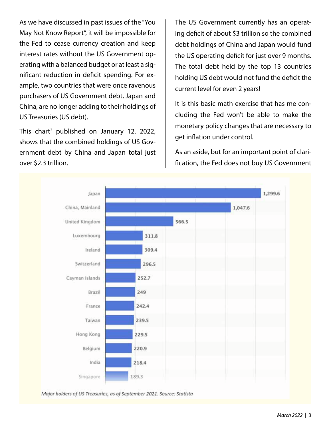As we have discussed in past issues of the "You May Not Know Report", it will be impossible for the Fed to cease currency creation and keep interest rates without the US Government operating with a balanced budget or at least a significant reduction in deficit spending. For example, two countries that were once ravenous purchasers of US Government debt, Japan and China, are no longer adding to their holdings of US Treasuries (US debt).

This chart<sup>2</sup> published on January 12, 2022, shows that the combined holdings of US Government debt by China and Japan total just over \$2.3 trillion.

The US Government currently has an operating deficit of about \$3 trillion so the combined debt holdings of China and Japan would fund the US operating deficit for just over 9 months. The total debt held by the top 13 countries holding US debt would not fund the deficit the current level for even 2 years!

It is this basic math exercise that has me concluding the Fed won't be able to make the monetary policy changes that are necessary to get inflation under control.

As an aside, but for an important point of clarification, the Fed does not buy US Government



Major holders of US Treasuries, as of September 2021. Source: Statista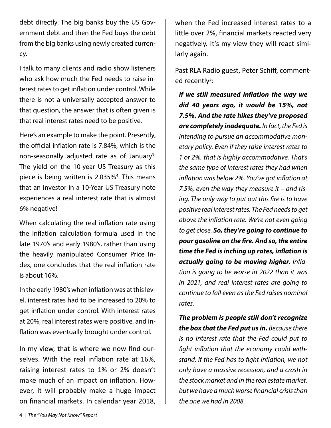debt directly. The big banks buy the US Government debt and then the Fed buys the debt from the big banks using newly created currency.

I talk to many clients and radio show listeners who ask how much the Fed needs to raise interest rates to get inflation under control. While there is not a universally accepted answer to that question, the answer that is often given is that real interest rates need to be positive.

Here's an example to make the point. Presently, the official inflation rate is 7.84%, which is the non-seasonally adjusted rate as of January<sup>3</sup>. The yield on the 10-year US Treasury as this piece is being written is 2.035%<sup>4</sup>. This means that an investor in a 10-Year US Treasury note experiences a real interest rate that is almost 6% negative!

When calculating the real inflation rate using the inflation calculation formula used in the late 1970's and early 1980's, rather than using the heavily manipulated Consumer Price Index, one concludes that the real inflation rate is about 16%.

In the early 1980's when inflation was at this level, interest rates had to be increased to 20% to get inflation under control. With interest rates at 20%, real interest rates were positive, and inflation was eventually brought under control.

In my view, that is where we now find ourselves. With the real inflation rate at 16%, raising interest rates to 1% or 2% doesn't make much of an impact on inflation. However, it will probably make a huge impact on financial markets. In calendar year 2018,

when the Fed increased interest rates to a little over 2%, financial markets reacted very negatively. It's my view they will react similarly again.

Past RLA Radio guest, Peter Schiff, commented recently<sup>5</sup>:

*If we still measured inflation the way we did 40 years ago, it would be 15%, not 7.5%. And the rate hikes they've proposed are completely inadequate. In fact, the Fed is intending to pursue an accommodative monetary policy. Even if they raise interest rates to 1 or 2%, that is highly accommodative. That's the same type of interest rates they had when inflation was below 2%. You've got inflation at 7.5%, even the way they measure it – and rising. The only way to put out this fire is to have positive real interest rates. The Fed needs to get above the inflation rate. We're not even going to get close. So, they're going to continue to pour gasoline on the fire. And so, the entire time the Fed is inching up rates, inflation is actually going to be moving higher. Inflation is going to be worse in 2022 than it was in 2021, and real interest rates are going to continue to fall even as the Fed raises nominal rates.*

*The problem is people still don't recognize the box that the Fed put us in. Because there is no interest rate that the Fed could put to fight inflation that the economy could withstand. If the Fed has to fight inflation, we not only have a massive recession, and a crash in the stock market and in the real estate market, but we have a much worse financial crisis than the one we had in 2008.*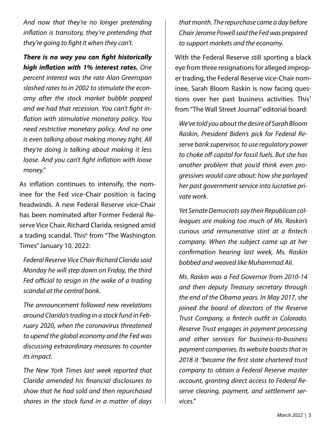*And now that they're no longer pretending inflation is transitory, they're pretending that they're going to fight it when they can't.*

#### *There is no way you can fight historically high inflation with 1% interest rates. One*

*percent interest was the rate Alan Greenspan slashed rates to in 2002 to stimulate the economy after the stock market bubble popped and we had that recession. You can't fight inflation with stimulative monetary policy. You need restrictive monetary policy. And no one is even talking about making money tight. All they're doing is talking about making it less loose. And you can't fight inflation with loose money."*

As inflation continues to intensify, the nominee for the Fed vice-Chair position is facing headwinds. A new Federal Reserve vice-Chair has been nominated after Former Federal Reserve Vice Chair, Richard Clarida, resigned amid a trading scandal. This<sup>6</sup> from "The Washington Times" January 10, 2022:

*Federal Reserve Vice Chair Richard Clarida said Monday he will step down on Friday, the third Fed official to resign in the wake of a trading scandal at the central bank.* 

*The announcement followed new revelations around Clarida's trading in a stock fund in February 2020, when the coronavirus threatened to upend the global economy and the Fed was discussing extraordinary measures to counter its impact.* 

*The New York Times last week reported that Clarida amended his financial disclosures to show that he had sold and then repurchased shares in the stock fund in a matter of days*  *that month. The repurchase came a day before Chair Jerome Powell said the Fed was prepared to support markets and the economy.* 

With the Federal Reserve still sporting a black eye from three resignations for alleged improper trading, the Federal Reserve vice-Chair nominee, Sarah Bloom Raskin is now facing questions over her past business activities. This<sup>7</sup> from "The Wall Street Journal" editorial board:

*We've told you about the desire of Sarah Bloom Raskin, President Biden's pick for Federal Reserve bank supervisor, to use regulatory power to choke off capital for fossil fuels. But she has another problem that you'd think even progressives would care about: how she parlayed her past government service into lucrative private work.*

*Yet Senate Democrats say their Republican colleagues are making too much of Ms. Raskin's curious and remunerative stint at a fintech company. When the subject came up at her confirmation hearing last week, Ms. Raskin bobbed and weaved like Muhammad Ali.* 

*Ms. Raskin was a Fed Governor from 2010-14 and then deputy Treasury secretary through the end of the Obama years. In May 2017, she joined the board of directors of the Reserve Trust Company, a fintech outfit in Colorado. Reserve Trust engages in payment processing and other services for business-to-business payment companies. Its website boasts that in 2018 it "became the first state chartered trust company to obtain a Federal Reserve master account, granting direct access to Federal Reserve clearing, payment, and settlement services."*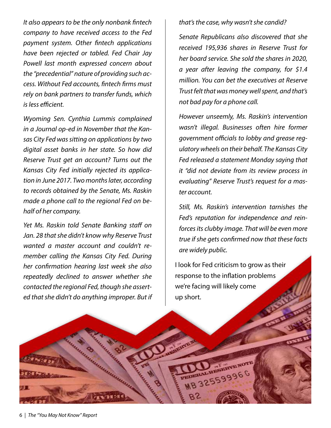*It also appears to be the only nonbank fintech company to have received access to the Fed payment system. Other fintech applications have been rejected or tabled. Fed Chair Jay Powell last month expressed concern about the "precedential" nature of providing such access. Without Fed accounts, fintech firms must rely on bank partners to transfer funds, which is less efficient.* 

*Wyoming Sen. Cynthia Lummis complained in a Journal op-ed in November that the Kansas City Fed was sitting on applications by two digital asset banks in her state. So how did Reserve Trust get an account? Turns out the Kansas City Fed initially rejected its application in June 2017. Two months later, according to records obtained by the Senate, Ms. Raskin made a phone call to the regional Fed on behalf of her company.*

*Yet Ms. Raskin told Senate Banking staff on Jan. 28 that she didn't know why Reserve Trust wanted a master account and couldn't remember calling the Kansas City Fed. During her confirmation hearing last week she also repeatedly declined to answer whether she contacted the regional Fed, though she asserted that she didn't do anything improper. But if*  *that's the case, why wasn't she candid?* 

*Senate Republicans also discovered that she received 195,936 shares in Reserve Trust for her board service. She sold the shares in 2020, a year after leaving the company, for \$1.4 million. You can bet the executives at Reserve Trust felt that was money well spent, and that's not bad pay for a phone call.* 

*However unseemly, Ms. Raskin's intervention wasn't illegal. Businesses often hire former government officials to lobby and grease regulatory wheels on their behalf. The Kansas City Fed released a statement Monday saying that it "did not deviate from its review process in evaluating" Reserve Trust's request for a master account.*

*Still, Ms. Raskin's intervention tarnishes the Fed's reputation for independence and reinforces its clubby image. That will be even more true if she gets confirmed now that these facts are widely public.*

I look for Fed criticism to grow as their response to the inflation problems we're facing will likely come up short.

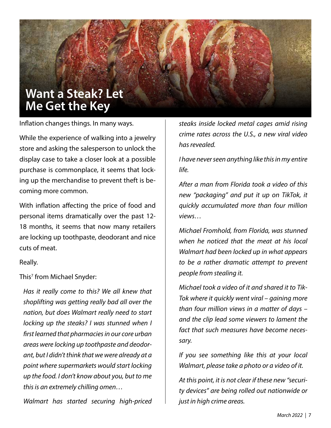### **Want a Steak? Let Me Get the Key**

Inflation changes things. In many ways.

While the experience of walking into a jewelry store and asking the salesperson to unlock the display case to take a closer look at a possible purchase is commonplace, it seems that locking up the merchandise to prevent theft is becoming more common.

With inflation affecting the price of food and personal items dramatically over the past 12- 18 months, it seems that now many retailers are locking up toothpaste, deodorant and nice cuts of meat.

Really.

This7 from Michael Snyder:

*Has it really come to this? We all knew that shoplifting was getting really bad all over the nation, but does Walmart really need to start locking up the steaks? I was stunned when I first learned that pharmacies in our core urban areas were locking up toothpaste and deodorant, but I didn't think that we were already at a point where supermarkets would start locking up the food. I don't know about you, but to me this is an extremely chilling omen…*

*Walmart has started securing high-priced* 

*steaks inside locked metal cages amid rising crime rates across the U.S., a new viral video has revealed.*

*I have never seen anything like this in my entire life.*

*After a man from Florida took a video of this new "packaging" and put it up on TikTok, it quickly accumulated more than four million views…*

*Michael Fromhold, from Florida, was stunned when he noticed that the meat at his local Walmart had been locked up in what appears to be a rather dramatic attempt to prevent people from stealing it.*

*Michael took a video of it and shared it to Tik-Tok where it quickly went viral – gaining more than four million views in a matter of days – and the clip lead some viewers to lament the fact that such measures have become necessary.*

*If you see something like this at your local Walmart, please take a photo or a video of it.*

*At this point, it is not clear if these new "security devices" are being rolled out nationwide or just in high crime areas.*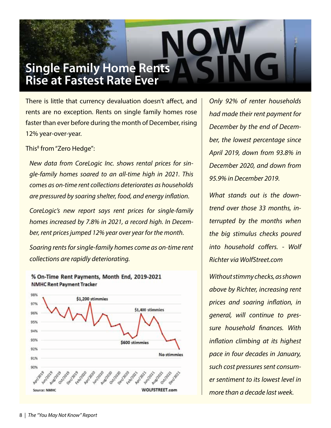## **Single Family Home Rents Rise at Fastest Rate Ever**

There is little that currency devaluation doesn't affect, and rents are no exception. Rents on single family homes rose faster than ever before during the month of December, rising 12% year-over-year.

This<sup>8</sup> from "Zero Hedge":

*New data from CoreLogic Inc. shows rental prices for single-family homes soared to an all-time high in 2021. This comes as on-time rent collections deteriorates as households are pressured by soaring shelter, food, and energy inflation.* 

*CoreLogic's new report says rent prices for single-family homes increased by 7.8% in 2021, a record high. In December, rent prices jumped 12% year over year for the month.* 

*Soaring rents for single-family homes come as on-time rent collections are rapidly deteriorating.* 



% On-Time Rent Payments, Month End, 2019-2021 **NMHC Rent Payment Tracker** 

*Only 92% of renter households had made their rent payment for December by the end of December, the lowest percentage since April 2019, down from 93.8% in December 2020, and down from 95.9% in December 2019.*

*What stands out is the downtrend over those 33 months, interrupted by the months when the big stimulus checks poured into household coffers. - Wolf Richter via WolfStreet.com* 

*Without stimmy checks, as shown above by Richter, increasing rent prices and soaring inflation, in general, will continue to pressure household finances. With inflation climbing at its highest pace in four decades in January, such cost pressures sent consumer sentiment to its lowest level in more than a decade last week.*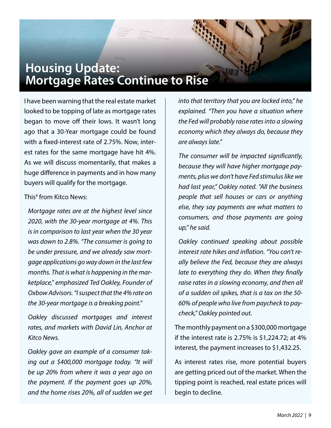# **Housing Update: Mortgage Rates Continue to Rise**

I have been warning that the real estate market looked to be topping of late as mortgage rates began to move off their lows. It wasn't long ago that a 30-Year mortgage could be found with a fixed-interest rate of 2.75%. Now, interest rates for the same mortgage have hit 4%. As we will discuss momentarily, that makes a huge difference in payments and in how many buyers will qualify for the mortgage.

#### This9 from Kitco News:

*Mortgage rates are at the highest level since 2020, with the 30-year mortgage at 4%. This is in comparison to last year when the 30 year was down to 2.8%. "The consumer is going to be under pressure, and we already saw mortgage applications go way down in the last few months. That is what is happening in the marketplace," emphasized Ted Oakley, Founder of Oxbow Advisors. "I suspect that the 4% rate on the 30-year mortgage is a breaking point."*

*Oakley discussed mortgages and interest rates, and markets with David Lin, Anchor at Kitco News.*

*Oakley gave an example of a consumer taking out a \$400,000 mortgage today. "It will be up 20% from where it was a year ago on the payment. If the payment goes up 20%, and the home rises 20%, all of sudden we get* 

*into that territory that you are locked into," he explained. "Then you have a situation where the Fed will probably raise rates into a slowing economy which they always do, because they are always late."*

*The consumer will be impacted significantly, because they will have higher mortgage payments, plus we don't have Fed stimulus like we had last year," Oakley noted. "All the business people that sell houses or cars or anything else, they say payments are what matters to consumers, and those payments are going up," he said.*

*Oakley continued speaking about possible interest rate hikes and inflation. "You can't really believe the Fed, because they are always late to everything they do. When they finally raise rates in a slowing economy, and then all of a sudden oil spikes, that is a tax on the 50- 60% of people who live from paycheck to paycheck," Oakley pointed out.*

The monthly payment on a \$300,000 mortgage if the interest rate is 2.75% is \$1,224.72; at 4% interest, the payment increases to \$1,432.25.

As interest rates rise, more potential buyers are getting priced out of the market. When the tipping point is reached, real estate prices will begin to decline.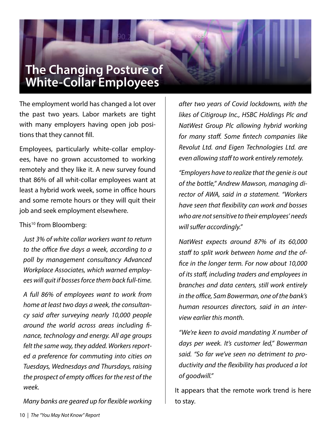# **The Changing Posture of White-Collar Employees**

The employment world has changed a lot over the past two years. Labor markets are tight with many employers having open job positions that they cannot fill.

Employees, particularly white-collar employees, have no grown accustomed to working remotely and they like it. A new survey found that 86% of all whit-collar employees want at least a hybrid work week, some in office hours and some remote hours or they will quit their job and seek employment elsewhere.

This<sup>10</sup> from Bloomberg:

*Just 3% of white collar workers want to return to the office five days a week, according to a poll by management consultancy Advanced Workplace Associates, which warned employees will quit if bosses force them back full-time.* 

*A full 86% of employees want to work from home at least two days a week, the consultancy said after surveying nearly 10,000 people around the world across areas including finance, technology and energy. All age groups felt the same way, they added. Workers reported a preference for commuting into cities on Tuesdays, Wednesdays and Thursdays, raising the prospect of empty offices for the rest of the week.*

*Many banks are geared up for flexible working* 

*after two years of Covid lockdowns, with the likes of Citigroup Inc., HSBC Holdings Plc and NatWest Group Plc allowing hybrid working for many staff. Some fintech companies like Revolut Ltd. and Eigen Technologies Ltd. are even allowing staff to work entirely remotely.*

*"Employers have to realize that the genie is out of the bottle," Andrew Mawson, managing director of AWA, said in a statement. "Workers have seen that flexibility can work and bosses who are not sensitive to their employees' needs will suffer accordingly."*

*NatWest expects around 87% of its 60,000 staff to split work between home and the office in the longer term. For now about 10,000 of its staff, including traders and employees in branches and data centers, still work entirely in the office, Sam Bowerman, one of the bank's human resources directors, said in an interview earlier this month.*

*"We're keen to avoid mandating X number of days per week. It's customer led," Bowerman said. "So far we've seen no detriment to productivity and the flexibility has produced a lot of goodwill."*

It appears that the remote work trend is here to stay.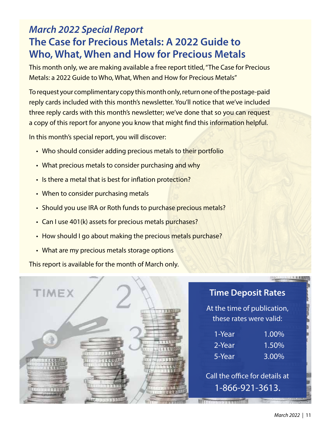#### *March 2022 Special Report* **The Case for Precious Metals: A 2022 Guide to Who, What, When and How for Precious Metals**

This month only, we are making available a free report titled, "The Case for Precious Metals: a 2022 Guide to Who, What, When and How for Precious Metals"

To request your complimentary copy this month only, return one of the postage-paid reply cards included with this month's newsletter. You'll notice that we've included three reply cards with this month's newsletter; we've done that so you can request a copy of this report for anyone you know that might find this information helpful.

In this month's special report, you will discover:

- Who should consider adding precious metals to their portfolio
- What precious metals to consider purchasing and why
- Is there a metal that is best for inflation protection?
- When to consider purchasing metals
- Should you use IRA or Roth funds to purchase precious metals?
- Can I use 401(k) assets for precious metals purchases?
- How should I go about making the precious metals purchase?
- What are my precious metals storage options

This report is available for the month of March only.